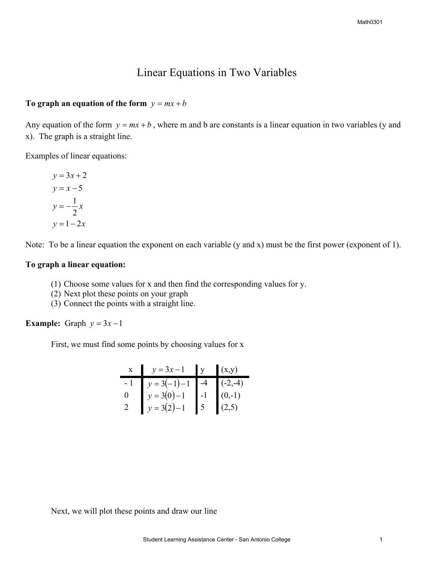## Linear Equations in Two Variables

## To graph an equation of the form  $y = mx + b$

Any equation of the form  $y = mx + b$ , where m and b are constants is a linear equation in two variables (y and x). The graph is a straight line.

Examples of linear equations:

$$
y = 3x + 2
$$
  
\n
$$
y = x - 5
$$
  
\n
$$
y = -\frac{1}{2}x
$$
  
\n
$$
y = 1 - 2x
$$

Note: To be a linear equation the exponent on each variable (y and x) must be the first power (exponent of 1).

## **To graph a linear equation:**

- (1) Choose some values for x and then find the corresponding values for y.
- (2) Next plot these points on your graph
- (3) Connect the points with a straight line.

**Example:** Graph  $y = 3x - 1$ 

First, we must find some points by choosing values for x

|  | x $y = 3x-1$ y $(x,y)$                                                                                                     |  |
|--|----------------------------------------------------------------------------------------------------------------------------|--|
|  |                                                                                                                            |  |
|  |                                                                                                                            |  |
|  | $\begin{array}{c c} -1 & y = 3(-1) - 1 & -4 & (-2,-4) \ y = 3(0) - 1 & -1 & (0,-1) \ y = 3(2) - 1 & 5 & (2,5) \end{array}$ |  |

Next, we will plot these points and draw our line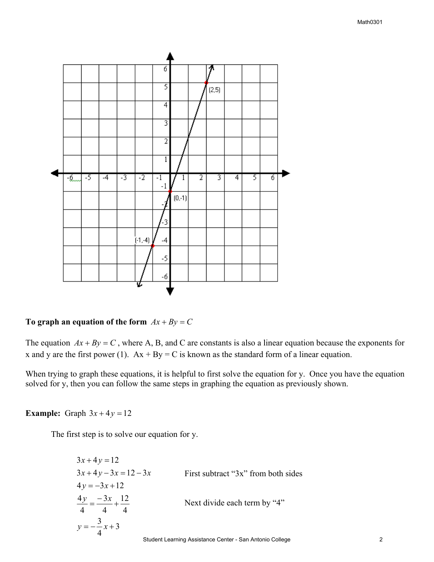

## To graph an equation of the form  $Ax + By = C$

The equation  $Ax + By = C$ , where A, B, and C are constants is also a linear equation because the exponents for x and y are the first power (1).  $Ax + By = C$  is known as the standard form of a linear equation.

When trying to graph these equations, it is helpful to first solve the equation for y. Once you have the equation solved for y, then you can follow the same steps in graphing the equation as previously shown.

**Example:** Graph  $3x + 4y = 12$ 

The first step is to solve our equation for y.

$$
3x + 4y = 12
$$
  
\n
$$
3x + 4y - 3x = 12 - 3x
$$
  
\n
$$
4y = -3x + 12
$$
  
\n
$$
\frac{4y}{4} = \frac{-3x}{4} + \frac{12}{4}
$$
  
\n
$$
y = -\frac{3}{4}x + 3
$$
  
\nFirst subtract "3x" from both sides  
\nNext divide each term by "4"  
\nNext divide each term by "4"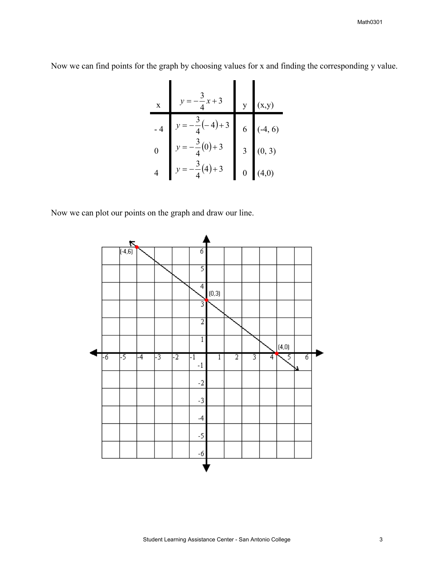Math0301

Now we can find points for the graph by choosing values for x and finding the corresponding y value.

| x  | y = -\frac{3}{4}x + 3      | y | (x,y)   |
|----|----------------------------|---|---------|
| -4 | $y = -\frac{3}{4}(-4) + 3$ | 6 | (-4, 6) |
| 0  | $y = -\frac{3}{4}(0) + 3$  | 3 | (0, 3)  |
| 4  | $y = -\frac{3}{4}(4) + 3$  | 0 | (4,0)   |

Now we can plot our points on the graph and draw our line.